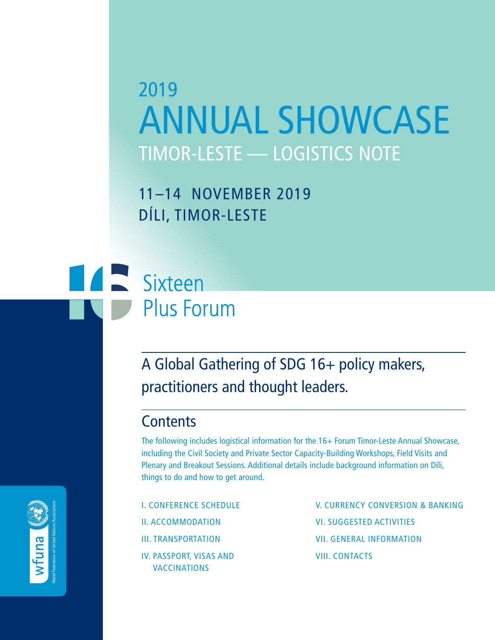# 2019 ANNUAL SHOWCASE TIMOR-LESTE — LOGISTICS NOTE

11–14 NOVEMBER 2019 DÍLI, TIMOR-LESTE

# **TALE** Sixteen **Plus Forum**

# A Global Gathering of SDG 16+ policy makers, practitioners and thought leaders.

### **Contents**

The following includes logistical information for the 16+ Forum Timor-Leste Annual Showcase, including the Civil Society and Private Sector Capacity-Building Workshops, Field Visits and Plenary and Breakout Sessions. Additional details include background information on Díli, things to do and how to get around.

I. CONFERENCE SCHEDULE II. ACCOMMODATION III. TRANSPORTATION IV. PASSPORT, VISAS AND VACCINATIONS

V. CURRENCY CONVERSION & BANKING VI. SUGGESTED ACTIVITIES VII. GENERAL INFORMATION VIII. CONTACTS

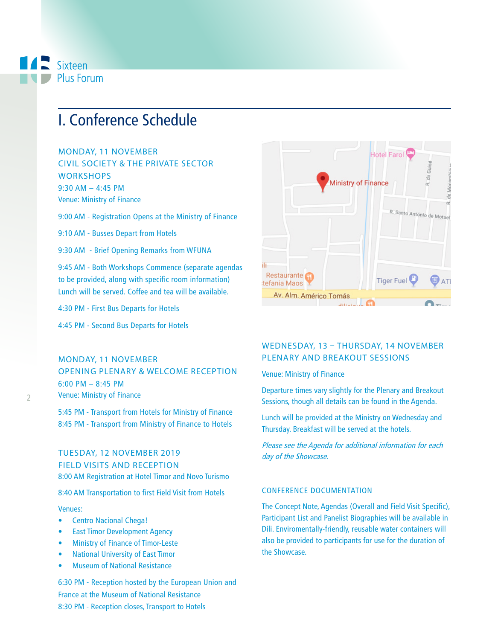

## I. Conference Schedule

MONDAY, 11 NOVEMBER CIVIL SOCIETY & THE PRIVATE SECTOR **WORKSHOPS** 9:30 AM – 4:45 PM Venue: Ministry of Finance

9:00 AM - Registration Opens at the Ministry of Finance

9:10 AM - Busses Depart from Hotels

9:30 AM - Brief Opening Remarks from WFUNA

9:45 AM - Both Workshops Commence (separate agendas to be provided, along with specific room information) Lunch will be served. Coffee and tea will be available.

4:30 PM - First Bus Departs for Hotels

4:45 PM - Second Bus Departs for Hotels

### MONDAY, 11 NOVEMBER OPENING PLENARY & WELCOME RECEPTION 6:00 PM – 8:45 PM Venue: Ministry of Finance

5:45 PM - Transport from Hotels for Ministry of Finance 8:45 PM - Transport from Ministry of Finance to Hotels

### TUESDAY, 12 NOVEMBER 2019 FIELD VISITS AND RECEPTION 8:00 AM Registration at Hotel Timor and Novo Turismo

8:40 AM Transportation to first Field Visit from Hotels

#### Venues:

- Centro Nacional Chega!
- **East Timor Development Agency**
- Ministry of Finance of Timor-Leste
- National University of East Timor
- Museum of National Resistance

6:30 PM - Reception hosted by the European Union and France at the Museum of National Resistance 8:30 PM - Reception closes, Transport to Hotels



### WEDNESDAY, 13 – THURSDAY, 14 NOVEMBER PLENARY AND BREAKOUT SESSIONS

#### Venue: Ministry of Finance

Departure times vary slightly for the Plenary and Breakout Sessions, though all details can be found in the Agenda.

Lunch will be provided at the Ministry on Wednesday and Thursday. Breakfast will be served at the hotels.

Please see the Agenda for additional information for each day of the Showcase.

### CONFERENCE DOCUMENTATION

The Concept Note, Agendas (Overall and Field Visit Specific), Participant List and Panelist Biographies will be available in Díli. Enviromentally-friendly, reusable water containers will also be provided to participants for use for the duration of the Showcase.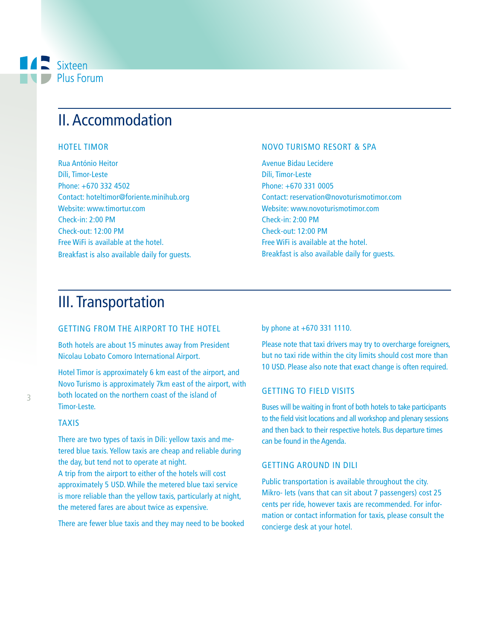### **A** Sixteen Plus Forum

## II. Accommodation

### HOTEL TIMOR

Rua António Heitor Díli, Timor-Leste Phone: +670 332 4502 Contact: hoteltimor@foriente.minihub.org Website: www.timortur.com Check-in: 2:00 PM Check-out: 12:00 PM Free WiFi is available at the hotel. Breakfast is also available daily for guests.

### NOVO TURISMO RESORT & SPA

Avenue Bidau Lecidere Díli, Timor-Leste Phone: +670 331 0005 Contact: reservation@novoturismotimor.com Website: www.novoturismotimor.com Check-in: 2:00 PM Check-out: 12:00 PM Free WiFi is available at the hotel. Breakfast is also available daily for guests.

### III. Transportation

### GETTING FROM THE AIRPORT TO THE HOTEL

Both hotels are about 15 minutes away from President Nicolau Lobato Comoro International Airport.

Hotel Timor is approximately 6 km east of the airport, and Novo Turismo is approximately 7km east of the airport, with both located on the northern coast of the island of Timor-Leste.

### TAXIS

There are two types of taxis in Díli: yellow taxis and metered blue taxis. Yellow taxis are cheap and reliable during the day, but tend not to operate at night.

A trip from the airport to either of the hotels will cost approximately 5 USD. While the metered blue taxi service is more reliable than the yellow taxis, particularly at night, the metered fares are about twice as expensive.

There are fewer blue taxis and they may need to be booked

by phone at +670 331 1110.

Please note that taxi drivers may try to overcharge foreigners, but no taxi ride within the city limits should cost more than 10 USD. Please also note that exact change is often required.

### GETTING TO FIELD VISITS

Buses will be waiting in front of both hotels to take participants to the field visit locations and all workshop and plenary sessions and then back to their respective hotels. Bus departure times can be found in the Agenda.

#### GETTING AROUND IN DILI

Public transportation is available throughout the city. Mikro- lets (vans that can sit about 7 passengers) cost 25 cents per ride, however taxis are recommended. For information or contact information for taxis, please consult the concierge desk at your hotel.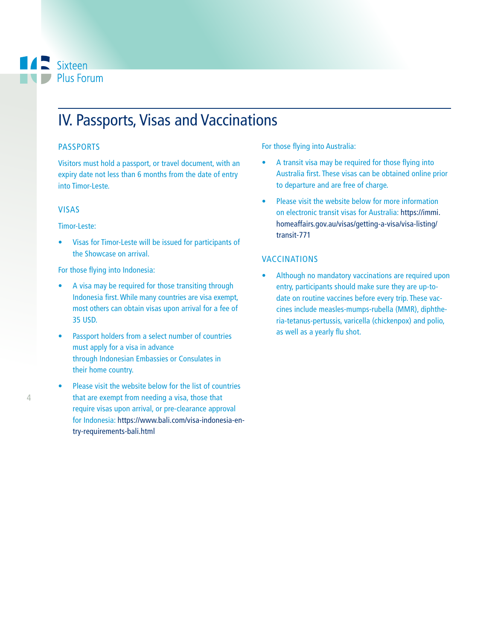### **A** Sixteen Plus Forum

# IV. Passports, Visas and Vaccinations

### PASSPORTS

Visitors must hold a passport, or travel document, with an expiry date not less than 6 months from the date of entry into Timor-Leste.

### VISAS

### Timor-Leste:

• Visas for Timor-Leste will be issued for participants of the Showcase on arrival.

For those flying into Indonesia:

- A visa may be required for those transiting through Indonesia first. While many countries are visa exempt, most others can obtain visas upon arrival for a fee of 35 USD.
- Passport holders from a select number of countries must apply for a visa in advance through Indonesian Embassies or Consulates in their home country.
- Please visit the website below for the list of countries that are exempt from needing a visa, those that require visas upon arrival, or pre-clearance approval for Indonesia: https://www.bali.com/visa-indonesia-entry-requirements-bali.html

For those flying into Australia:

- A transit visa may be required for those flying into Australia first. These visas can be obtained online prior to departure and are free of charge.
- Please visit the website below for more information on electronic transit visas for Australia: https://immi. homeaffairs.gov.au/visas/getting-a-visa/visa-listing/ transit-771

### VACCINATIONS

• Although no mandatory vaccinations are required upon entry, participants should make sure they are up-todate on routine vaccines before every trip. These vaccines include measles-mumps-rubella (MMR), diphtheria-tetanus-pertussis, varicella (chickenpox) and polio, as well as a yearly flu shot.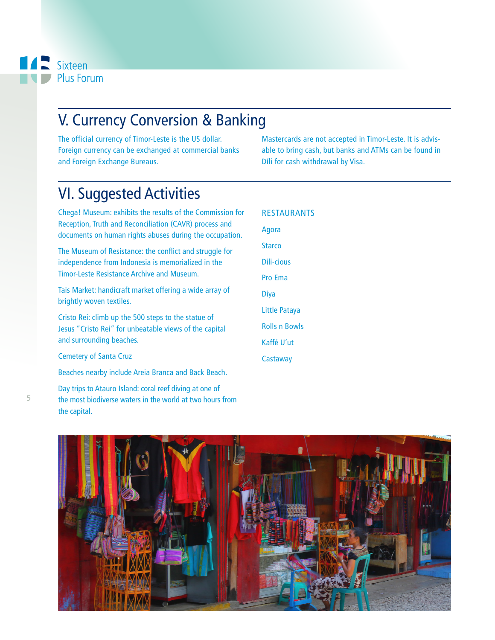# V. Currency Conversion & Banking

The official currency of Timor-Leste is the US dollar. Foreign currency can be exchanged at commercial banks and Foreign Exchange Bureaus.

Mastercards are not accepted in Timor-Leste. It is advisable to bring cash, but banks and ATMs can be found in Díli for cash withdrawal by Visa.

# VI. Suggested Activities

Chega! Museum: exhibits the results of the Commission for Reception, Truth and Reconciliation (CAVR) process and documents on human rights abuses during the occupation.

The Museum of Resistance: the conflict and struggle for independence from Indonesia is memorialized in the Timor-Leste Resistance Archive and Museum.

Tais Market: handicraft market offering a wide array of brightly woven textiles.

Cristo Rei: climb up the 500 steps to the statue of Jesus "Cristo Rei" for unbeatable views of the capital and surrounding beaches.

Cemetery of Santa Cruz

Beaches nearby include Areia Branca and Back Beach.

Day trips to Atauro Island: coral reef diving at one of the most biodiverse waters in the world at two hours from the capital.

| <b>RESTAURANTS</b>   |
|----------------------|
| Agora                |
| <b>Starco</b>        |
| Dili-cious           |
| <b>Pro Ema</b>       |
| <b>Diya</b>          |
| Little Pataya        |
| <b>Rolls n Bowls</b> |
| Kaffé U'ut           |
| Castaway             |
|                      |